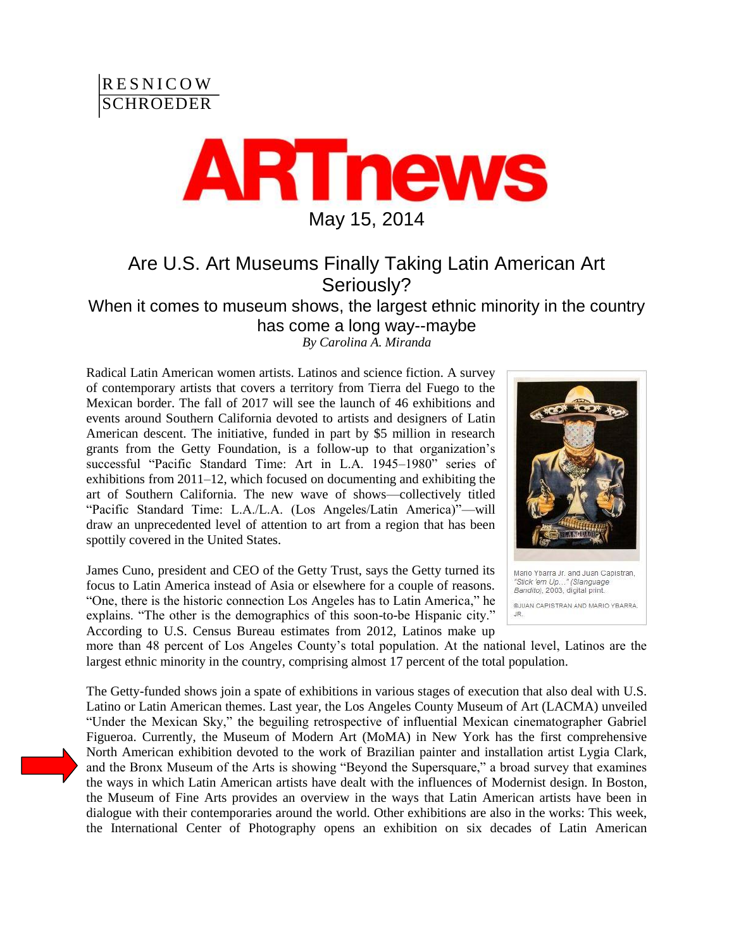



## Are U.S. Art Museums Finally Taking Latin American Art Seriously?

When it comes to museum shows, the largest ethnic minority in the country has come a long way--maybe

*By Carolina A. Miranda*

Radical Latin American women artists. Latinos and science fiction. A survey of contemporary artists that covers a territory from Tierra del Fuego to the Mexican border. The fall of 2017 will see the launch of 46 exhibitions and events around Southern California devoted to artists and designers of Latin American descent. The initiative, funded in part by \$5 million in research grants from the Getty Foundation, is a follow-up to that organization's successful "Pacific Standard Time: Art in L.A. 1945–1980" series of exhibitions from 2011–12, which focused on documenting and exhibiting the art of Southern California. The new wave of shows—collectively titled "Pacific Standard Time: L.A./L.A. (Los Angeles/Latin America)"—will draw an unprecedented level of attention to art from a region that has been spottily covered in the United States.

James Cuno, president and CEO of the Getty Trust, says the Getty turned its focus to Latin America instead of Asia or elsewhere for a couple of reasons. "One, there is the historic connection Los Angeles has to Latin America," he explains. "The other is the demographics of this soon-to-be Hispanic city." According to U.S. Census Bureau estimates from 2012, Latinos make up



more than 48 percent of Los Angeles County's total population. At the national level, Latinos are the largest ethnic minority in the country, comprising almost 17 percent of the total population.

The Getty-funded shows join a spate of exhibitions in various stages of execution that also deal with U.S. Latino or Latin American themes. Last year, the Los Angeles County Museum of Art (LACMA) unveiled "Under the Mexican Sky," the beguiling retrospective of influential Mexican cinematographer Gabriel Figueroa. Currently, the Museum of Modern Art (MoMA) in New York has the first comprehensive North American exhibition devoted to the work of Brazilian painter and installation artist Lygia Clark, and the Bronx Museum of the Arts is showing "Beyond the Supersquare," a broad survey that examines the ways in which Latin American artists have dealt with the influences of Modernist design. In Boston, the Museum of Fine Arts provides an overview in the ways that Latin American artists have been in dialogue with their contemporaries around the world. Other exhibitions are also in the works: This week, the International Center of Photography opens an exhibition on six decades of Latin American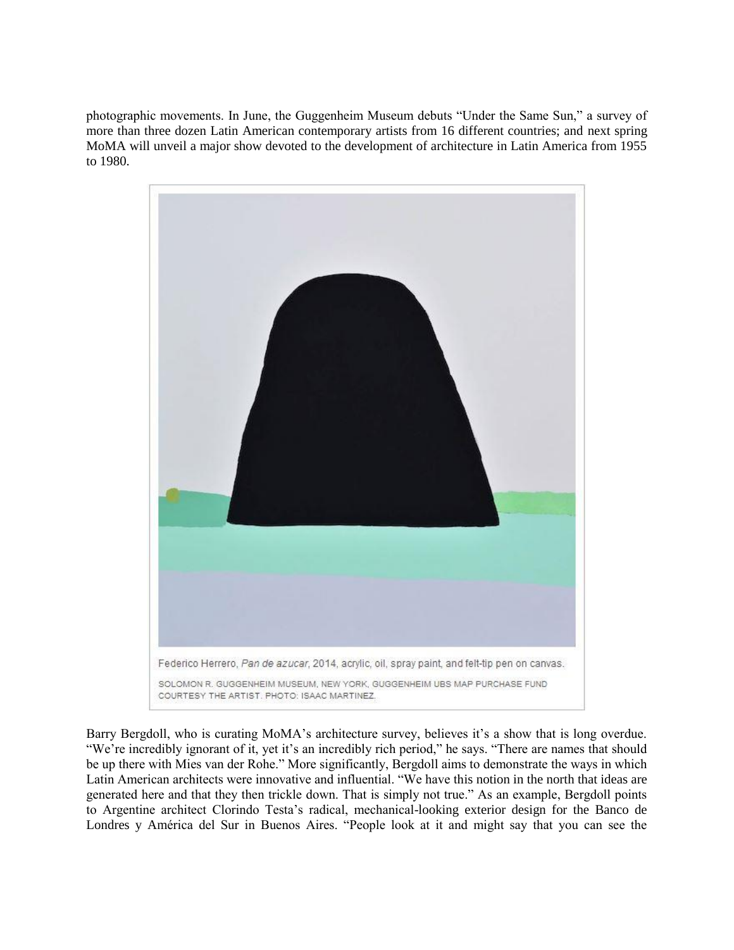photographic movements. In June, the Guggenheim Museum debuts "Under the Same Sun," a survey of more than three dozen Latin American contemporary artists from 16 different countries; and next spring MoMA will unveil a major show devoted to the development of architecture in Latin America from 1955 to 1980.



Barry Bergdoll, who is curating MoMA's architecture survey, believes it's a show that is long overdue. "We're incredibly ignorant of it, yet it's an incredibly rich period," he says. "There are names that should be up there with Mies van der Rohe." More significantly, Bergdoll aims to demonstrate the ways in which Latin American architects were innovative and influential. "We have this notion in the north that ideas are generated here and that they then trickle down. That is simply not true." As an example, Bergdoll points to Argentine architect Clorindo Testa's radical, mechanical-looking exterior design for the Banco de Londres y América del Sur in Buenos Aires. "People look at it and might say that you can see the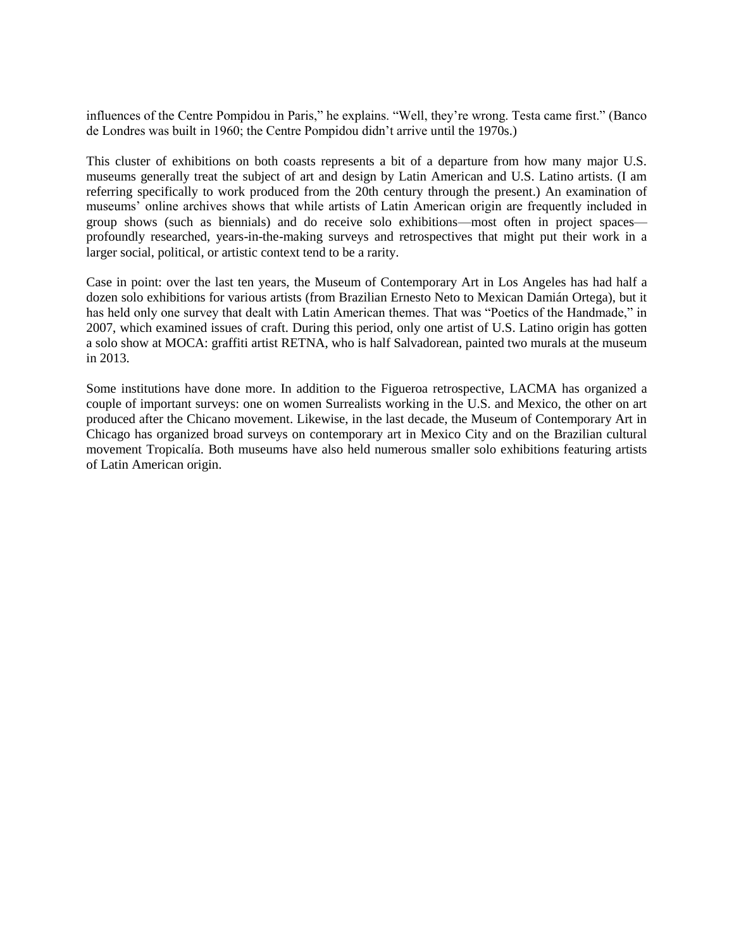influences of the Centre Pompidou in Paris," he explains. "Well, they're wrong. Testa came first." (Banco de Londres was built in 1960; the Centre Pompidou didn't arrive until the 1970s.)

This cluster of exhibitions on both coasts represents a bit of a departure from how many major U.S. museums generally treat the subject of art and design by Latin American and U.S. Latino artists. (I am referring specifically to work produced from the 20th century through the present.) An examination of museums' online archives shows that while artists of Latin American origin are frequently included in group shows (such as biennials) and do receive solo exhibitions—most often in project spaces profoundly researched, years-in-the-making surveys and retrospectives that might put their work in a larger social, political, or artistic context tend to be a rarity.

Case in point: over the last ten years, the Museum of Contemporary Art in Los Angeles has had half a dozen solo exhibitions for various artists (from Brazilian Ernesto Neto to Mexican Damián Ortega), but it has held only one survey that dealt with Latin American themes. That was "Poetics of the Handmade," in 2007, which examined issues of craft. During this period, only one artist of U.S. Latino origin has gotten a solo show at MOCA: graffiti artist RETNA, who is half Salvadorean, painted two murals at the museum in 2013.

Some institutions have done more. In addition to the Figueroa retrospective, LACMA has organized a couple of important surveys: one on women Surrealists working in the U.S. and Mexico, the other on art produced after the Chicano movement. Likewise, in the last decade, the Museum of Contemporary Art in Chicago has organized broad surveys on contemporary art in Mexico City and on the Brazilian cultural movement Tropicalía. Both museums have also held numerous smaller solo exhibitions featuring artists of Latin American origin.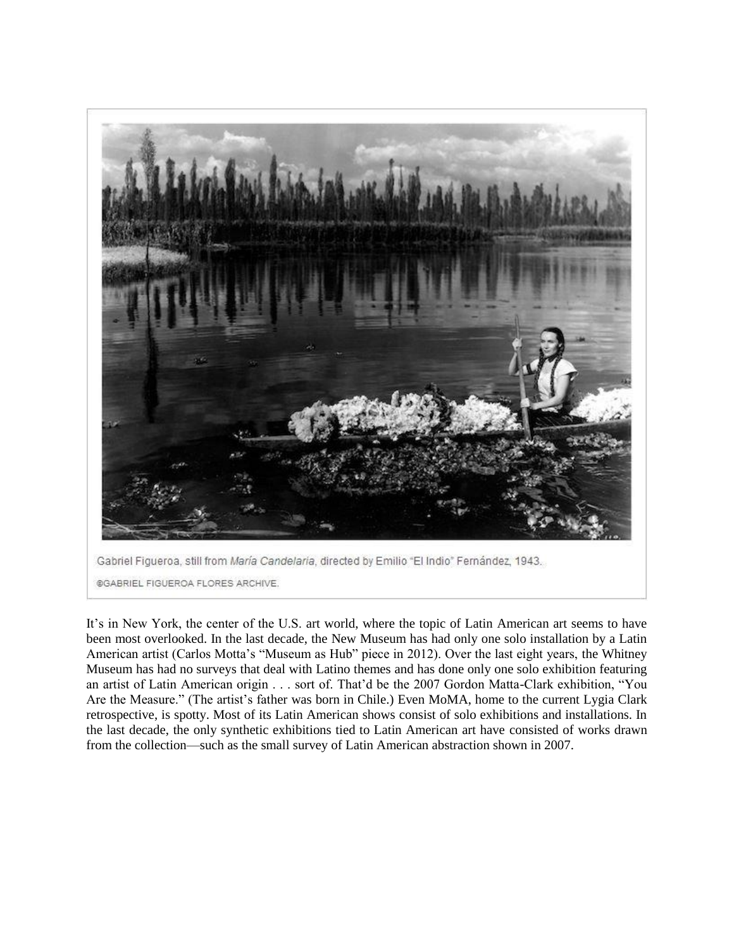

It's in New York, the center of the U.S. art world, where the topic of Latin American art seems to have been most overlooked. In the last decade, the New Museum has had only one solo installation by a Latin American artist (Carlos Motta's "Museum as Hub" piece in 2012). Over the last eight years, the Whitney Museum has had no surveys that deal with Latino themes and has done only one solo exhibition featuring an artist of Latin American origin . . . sort of. That'd be the 2007 Gordon Matta-Clark exhibition, "You Are the Measure." (The artist's father was born in Chile.) Even MoMA, home to the current Lygia Clark retrospective, is spotty. Most of its Latin American shows consist of solo exhibitions and installations. In the last decade, the only synthetic exhibitions tied to Latin American art have consisted of works drawn from the collection—such as the small survey of Latin American abstraction shown in 2007.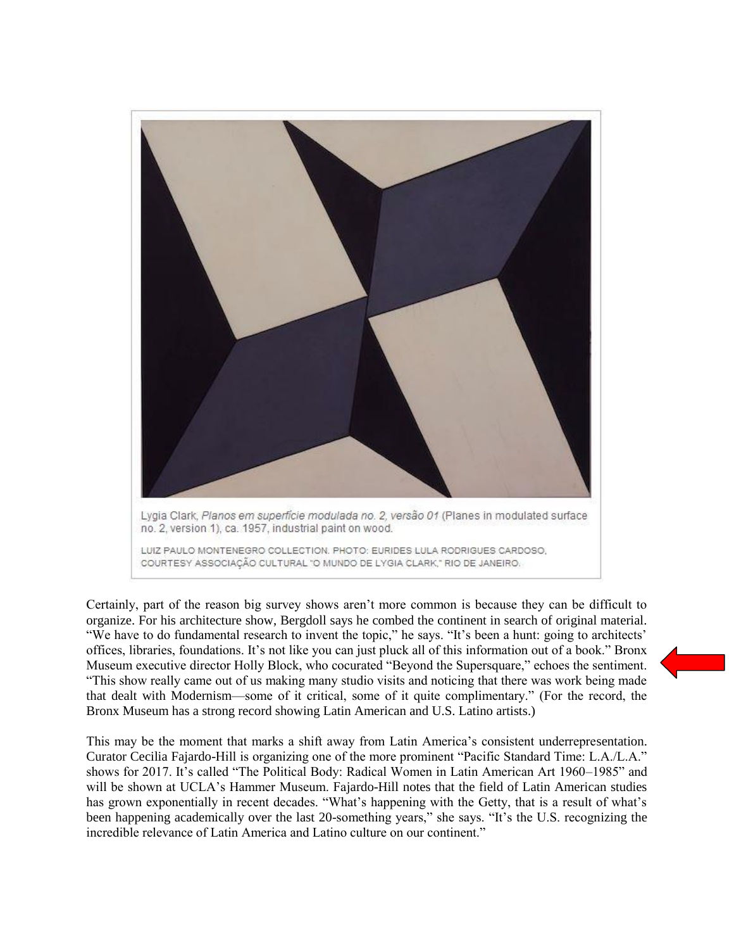

Certainly, part of the reason big survey shows aren't more common is because they can be difficult to organize. For his architecture show, Bergdoll says he combed the continent in search of original material. "We have to do fundamental research to invent the topic," he says. "It's been a hunt: going to architects' offices, libraries, foundations. It's not like you can just pluck all of this information out of a book." Bronx Museum executive director Holly Block, who cocurated "Beyond the Supersquare," echoes the sentiment. "This show really came out of us making many studio visits and noticing that there was work being made that dealt with Modernism—some of it critical, some of it quite complimentary." (For the record, the Bronx Museum has a strong record showing Latin American and U.S. Latino artists.)

This may be the moment that marks a shift away from Latin America's consistent underrepresentation. Curator Cecilia Fajardo-Hill is organizing one of the more prominent "Pacific Standard Time: L.A./L.A." shows for 2017. It's called "The Political Body: Radical Women in Latin American Art 1960–1985" and will be shown at UCLA's Hammer Museum. Fajardo-Hill notes that the field of Latin American studies has grown exponentially in recent decades. "What's happening with the Getty, that is a result of what's been happening academically over the last 20-something years," she says. "It's the U.S. recognizing the incredible relevance of Latin America and Latino culture on our continent."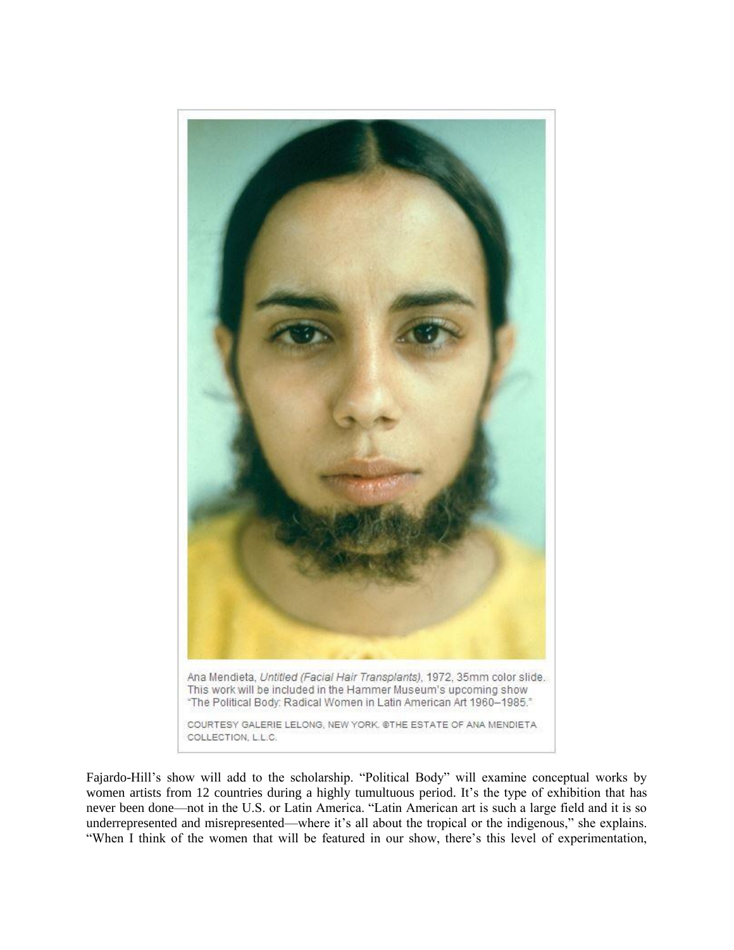

Fajardo-Hill's show will add to the scholarship. "Political Body" will examine conceptual works by women artists from 12 countries during a highly tumultuous period. It's the type of exhibition that has never been done—not in the U.S. or Latin America. "Latin American art is such a large field and it is so underrepresented and misrepresented—where it's all about the tropical or the indigenous," she explains. "When I think of the women that will be featured in our show, there's this level of experimentation,